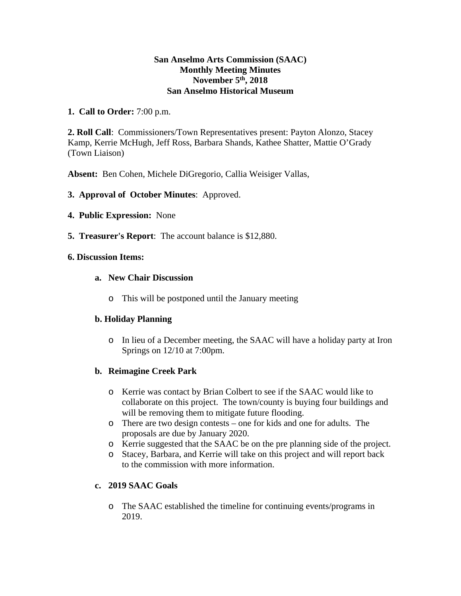#### **San Anselmo Arts Commission (SAAC) Monthly Meeting Minutes November 5th, 2018 San Anselmo Historical Museum**

**1. Call to Order:** 7:00 p.m.

**2. Roll Call**: Commissioners/Town Representatives present: Payton Alonzo, Stacey Kamp, Kerrie McHugh, Jeff Ross, Barbara Shands, Kathee Shatter, Mattie O'Grady (Town Liaison)

**Absent:** Ben Cohen, Michele DiGregorio, Callia Weisiger Vallas,

- **3. Approval of October Minutes**: Approved.
- **4. Public Expression:** None
- **5. Treasurer's Report**: The account balance is \$12,880.

#### **6. Discussion Items:**

- **a. New Chair Discussion** 
	- o This will be postponed until the January meeting

## **b. Holiday Planning**

o In lieu of a December meeting, the SAAC will have a holiday party at Iron Springs on 12/10 at 7:00pm.

## **b. Reimagine Creek Park**

- o Kerrie was contact by Brian Colbert to see if the SAAC would like to collaborate on this project. The town/county is buying four buildings and will be removing them to mitigate future flooding.
- o There are two design contests one for kids and one for adults. The proposals are due by January 2020.
- o Kerrie suggested that the SAAC be on the pre planning side of the project.
- o Stacey, Barbara, and Kerrie will take on this project and will report back to the commission with more information.

## **c. 2019 SAAC Goals**

o The SAAC established the timeline for continuing events/programs in 2019.